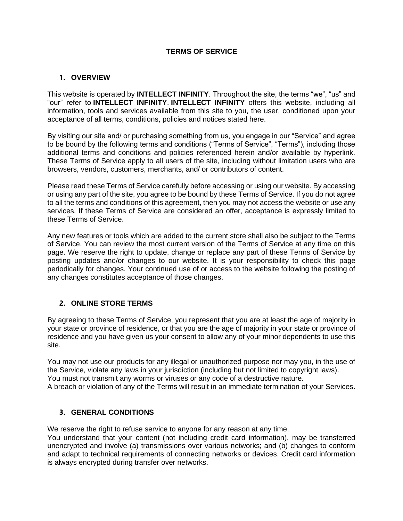### **TERMS OF SERVICE**

### **1. OVERVIEW**

This website is operated by **INTELLECT INFINITY**. Throughout the site, the terms "we", "us" and "our" refer to **INTELLECT INFINITY**. **INTELLECT INFINITY** offers this website, including all information, tools and services available from this site to you, the user, conditioned upon your acceptance of all terms, conditions, policies and notices stated here.

By visiting our site and/ or purchasing something from us, you engage in our "Service" and agree to be bound by the following terms and conditions ("Terms of Service", "Terms"), including those additional terms and conditions and policies referenced herein and/or available by hyperlink. These Terms of Service apply to all users of the site, including without limitation users who are browsers, vendors, customers, merchants, and/ or contributors of content.

Please read these Terms of Service carefully before accessing or using our website. By accessing or using any part of the site, you agree to be bound by these Terms of Service. If you do not agree to all the terms and conditions of this agreement, then you may not access the website or use any services. If these Terms of Service are considered an offer, acceptance is expressly limited to these Terms of Service.

Any new features or tools which are added to the current store shall also be subject to the Terms of Service. You can review the most current version of the Terms of Service at any time on this page. We reserve the right to update, change or replace any part of these Terms of Service by posting updates and/or changes to our website. It is your responsibility to check this page periodically for changes. Your continued use of or access to the website following the posting of any changes constitutes acceptance of those changes.

# **2. ONLINE STORE TERMS**

By agreeing to these Terms of Service, you represent that you are at least the age of majority in your state or province of residence, or that you are the age of majority in your state or province of residence and you have given us your consent to allow any of your minor dependents to use this site.

You may not use our products for any illegal or unauthorized purpose nor may you, in the use of the Service, violate any laws in your jurisdiction (including but not limited to copyright laws). You must not transmit any worms or viruses or any code of a destructive nature. A breach or violation of any of the Terms will result in an immediate termination of your Services.

# **3. GENERAL CONDITIONS**

We reserve the right to refuse service to anyone for any reason at any time.

You understand that your content (not including credit card information), may be transferred unencrypted and involve (a) transmissions over various networks; and (b) changes to conform and adapt to technical requirements of connecting networks or devices. Credit card information is always encrypted during transfer over networks.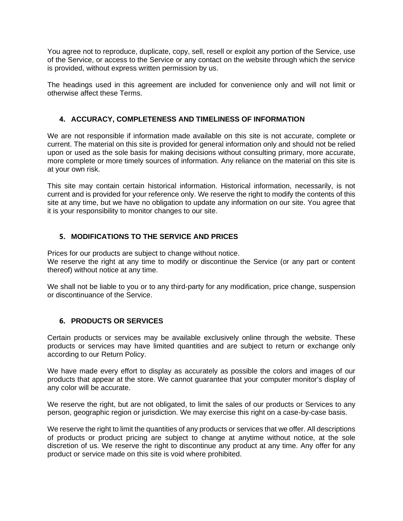You agree not to reproduce, duplicate, copy, sell, resell or exploit any portion of the Service, use of the Service, or access to the Service or any contact on the website through which the service is provided, without express written permission by us.

The headings used in this agreement are included for convenience only and will not limit or otherwise affect these Terms.

### **4. ACCURACY, COMPLETENESS AND TIMELINESS OF INFORMATION**

We are not responsible if information made available on this site is not accurate, complete or current. The material on this site is provided for general information only and should not be relied upon or used as the sole basis for making decisions without consulting primary, more accurate, more complete or more timely sources of information. Any reliance on the material on this site is at your own risk.

This site may contain certain historical information. Historical information, necessarily, is not current and is provided for your reference only. We reserve the right to modify the contents of this site at any time, but we have no obligation to update any information on our site. You agree that it is your responsibility to monitor changes to our site.

### **5. MODIFICATIONS TO THE SERVICE AND PRICES**

Prices for our products are subject to change without notice. We reserve the right at any time to modify or discontinue the Service (or any part or content thereof) without notice at any time.

We shall not be liable to you or to any third-party for any modification, price change, suspension or discontinuance of the Service.

#### **6. PRODUCTS OR SERVICES**

Certain products or services may be available exclusively online through the website. These products or services may have limited quantities and are subject to return or exchange only according to our Return Policy.

We have made every effort to display as accurately as possible the colors and images of our products that appear at the store. We cannot guarantee that your computer monitor's display of any color will be accurate.

We reserve the right, but are not obligated, to limit the sales of our products or Services to any person, geographic region or jurisdiction. We may exercise this right on a case-by-case basis.

We reserve the right to limit the quantities of any products or services that we offer. All descriptions of products or product pricing are subject to change at anytime without notice, at the sole discretion of us. We reserve the right to discontinue any product at any time. Any offer for any product or service made on this site is void where prohibited.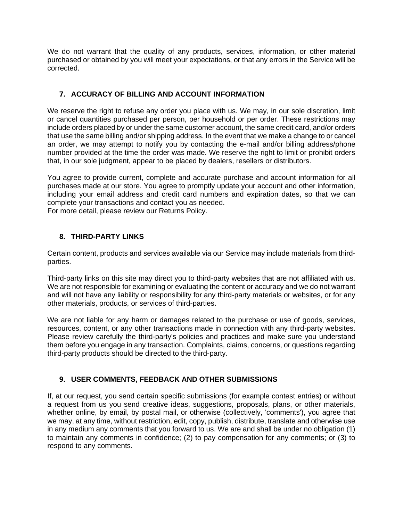We do not warrant that the quality of any products, services, information, or other material purchased or obtained by you will meet your expectations, or that any errors in the Service will be corrected.

# **7. ACCURACY OF BILLING AND ACCOUNT INFORMATION**

We reserve the right to refuse any order you place with us. We may, in our sole discretion, limit or cancel quantities purchased per person, per household or per order. These restrictions may include orders placed by or under the same customer account, the same credit card, and/or orders that use the same billing and/or shipping address. In the event that we make a change to or cancel an order, we may attempt to notify you by contacting the e-mail and/or billing address/phone number provided at the time the order was made. We reserve the right to limit or prohibit orders that, in our sole judgment, appear to be placed by dealers, resellers or distributors.

You agree to provide current, complete and accurate purchase and account information for all purchases made at our store. You agree to promptly update your account and other information, including your email address and credit card numbers and expiration dates, so that we can complete your transactions and contact you as needed.

For more detail, please review our Returns Policy.

# **8. THIRD-PARTY LINKS**

Certain content, products and services available via our Service may include materials from thirdparties.

Third-party links on this site may direct you to third-party websites that are not affiliated with us. We are not responsible for examining or evaluating the content or accuracy and we do not warrant and will not have any liability or responsibility for any third-party materials or websites, or for any other materials, products, or services of third-parties.

We are not liable for any harm or damages related to the purchase or use of goods, services, resources, content, or any other transactions made in connection with any third-party websites. Please review carefully the third-party's policies and practices and make sure you understand them before you engage in any transaction. Complaints, claims, concerns, or questions regarding third-party products should be directed to the third-party.

# **9. USER COMMENTS, FEEDBACK AND OTHER SUBMISSIONS**

If, at our request, you send certain specific submissions (for example contest entries) or without a request from us you send creative ideas, suggestions, proposals, plans, or other materials, whether online, by email, by postal mail, or otherwise (collectively, 'comments'), you agree that we may, at any time, without restriction, edit, copy, publish, distribute, translate and otherwise use in any medium any comments that you forward to us. We are and shall be under no obligation (1) to maintain any comments in confidence; (2) to pay compensation for any comments; or (3) to respond to any comments.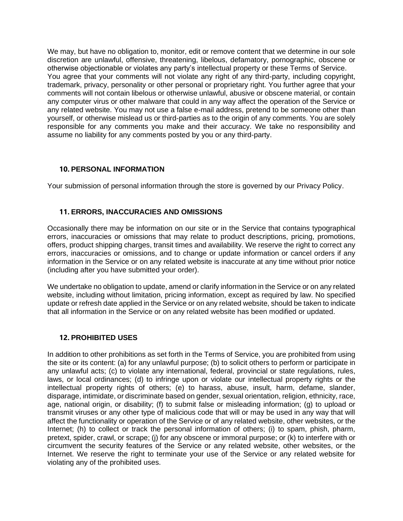We may, but have no obligation to, monitor, edit or remove content that we determine in our sole discretion are unlawful, offensive, threatening, libelous, defamatory, pornographic, obscene or otherwise objectionable or violates any party's intellectual property or these Terms of Service. You agree that your comments will not violate any right of any third-party, including copyright, trademark, privacy, personality or other personal or proprietary right. You further agree that your comments will not contain libelous or otherwise unlawful, abusive or obscene material, or contain any computer virus or other malware that could in any way affect the operation of the Service or any related website. You may not use a false e-mail address, pretend to be someone other than yourself, or otherwise mislead us or third-parties as to the origin of any comments. You are solely responsible for any comments you make and their accuracy. We take no responsibility and assume no liability for any comments posted by you or any third-party.

#### **10. PERSONAL INFORMATION**

Your submission of personal information through the store is governed by our Privacy Policy.

### **11. ERRORS, INACCURACIES AND OMISSIONS**

Occasionally there may be information on our site or in the Service that contains typographical errors, inaccuracies or omissions that may relate to product descriptions, pricing, promotions, offers, product shipping charges, transit times and availability. We reserve the right to correct any errors, inaccuracies or omissions, and to change or update information or cancel orders if any information in the Service or on any related website is inaccurate at any time without prior notice (including after you have submitted your order).

We undertake no obligation to update, amend or clarify information in the Service or on any related website, including without limitation, pricing information, except as required by law. No specified update or refresh date applied in the Service or on any related website, should be taken to indicate that all information in the Service or on any related website has been modified or updated.

#### **12. PROHIBITED USES**

In addition to other prohibitions as set forth in the Terms of Service, you are prohibited from using the site or its content: (a) for any unlawful purpose; (b) to solicit others to perform or participate in any unlawful acts; (c) to violate any international, federal, provincial or state regulations, rules, laws, or local ordinances; (d) to infringe upon or violate our intellectual property rights or the intellectual property rights of others; (e) to harass, abuse, insult, harm, defame, slander, disparage, intimidate, or discriminate based on gender, sexual orientation, religion, ethnicity, race, age, national origin, or disability; (f) to submit false or misleading information; (g) to upload or transmit viruses or any other type of malicious code that will or may be used in any way that will affect the functionality or operation of the Service or of any related website, other websites, or the Internet; (h) to collect or track the personal information of others; (i) to spam, phish, pharm, pretext, spider, crawl, or scrape; (j) for any obscene or immoral purpose; or (k) to interfere with or circumvent the security features of the Service or any related website, other websites, or the Internet. We reserve the right to terminate your use of the Service or any related website for violating any of the prohibited uses.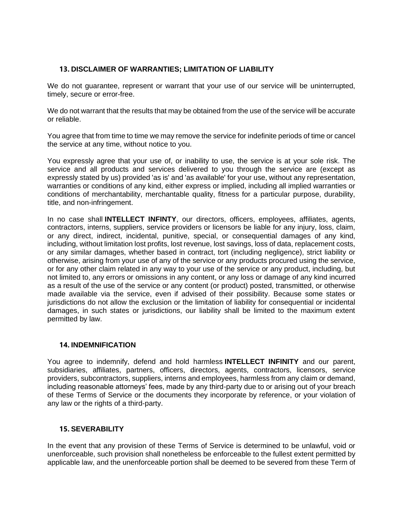### **13. DISCLAIMER OF WARRANTIES; LIMITATION OF LIABILITY**

We do not quarantee, represent or warrant that your use of our service will be uninterrupted, timely, secure or error-free.

We do not warrant that the results that may be obtained from the use of the service will be accurate or reliable.

You agree that from time to time we may remove the service for indefinite periods of time or cancel the service at any time, without notice to you.

You expressly agree that your use of, or inability to use, the service is at your sole risk. The service and all products and services delivered to you through the service are (except as expressly stated by us) provided 'as is' and 'as available' for your use, without any representation, warranties or conditions of any kind, either express or implied, including all implied warranties or conditions of merchantability, merchantable quality, fitness for a particular purpose, durability, title, and non-infringement.

In no case shall **INTELLECT INFINTY**, our directors, officers, employees, affiliates, agents, contractors, interns, suppliers, service providers or licensors be liable for any injury, loss, claim, or any direct, indirect, incidental, punitive, special, or consequential damages of any kind, including, without limitation lost profits, lost revenue, lost savings, loss of data, replacement costs, or any similar damages, whether based in contract, tort (including negligence), strict liability or otherwise, arising from your use of any of the service or any products procured using the service, or for any other claim related in any way to your use of the service or any product, including, but not limited to, any errors or omissions in any content, or any loss or damage of any kind incurred as a result of the use of the service or any content (or product) posted, transmitted, or otherwise made available via the service, even if advised of their possibility. Because some states or jurisdictions do not allow the exclusion or the limitation of liability for consequential or incidental damages, in such states or jurisdictions, our liability shall be limited to the maximum extent permitted by law.

#### **14. INDEMNIFICATION**

You agree to indemnify, defend and hold harmless **INTELLECT INFINITY** and our parent, subsidiaries, affiliates, partners, officers, directors, agents, contractors, licensors, service providers, subcontractors, suppliers, interns and employees, harmless from any claim or demand, including reasonable attorneys' fees, made by any third-party due to or arising out of your breach of these Terms of Service or the documents they incorporate by reference, or your violation of any law or the rights of a third-party.

#### **15. SEVERABILITY**

In the event that any provision of these Terms of Service is determined to be unlawful, void or unenforceable, such provision shall nonetheless be enforceable to the fullest extent permitted by applicable law, and the unenforceable portion shall be deemed to be severed from these Term of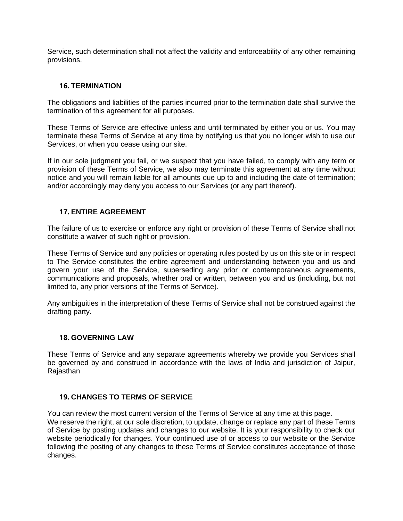Service, such determination shall not affect the validity and enforceability of any other remaining provisions.

### **16. TERMINATION**

The obligations and liabilities of the parties incurred prior to the termination date shall survive the termination of this agreement for all purposes.

These Terms of Service are effective unless and until terminated by either you or us. You may terminate these Terms of Service at any time by notifying us that you no longer wish to use our Services, or when you cease using our site.

If in our sole judgment you fail, or we suspect that you have failed, to comply with any term or provision of these Terms of Service, we also may terminate this agreement at any time without notice and you will remain liable for all amounts due up to and including the date of termination; and/or accordingly may deny you access to our Services (or any part thereof).

### **17. ENTIRE AGREEMENT**

The failure of us to exercise or enforce any right or provision of these Terms of Service shall not constitute a waiver of such right or provision.

These Terms of Service and any policies or operating rules posted by us on this site or in respect to The Service constitutes the entire agreement and understanding between you and us and govern your use of the Service, superseding any prior or contemporaneous agreements, communications and proposals, whether oral or written, between you and us (including, but not limited to, any prior versions of the Terms of Service).

Any ambiguities in the interpretation of these Terms of Service shall not be construed against the drafting party.

#### **18. GOVERNING LAW**

These Terms of Service and any separate agreements whereby we provide you Services shall be governed by and construed in accordance with the laws of India and jurisdiction of Jaipur, Rajasthan

#### **19. CHANGES TO TERMS OF SERVICE**

You can review the most current version of the Terms of Service at any time at this page. We reserve the right, at our sole discretion, to update, change or replace any part of these Terms of Service by posting updates and changes to our website. It is your responsibility to check our website periodically for changes. Your continued use of or access to our website or the Service following the posting of any changes to these Terms of Service constitutes acceptance of those changes.